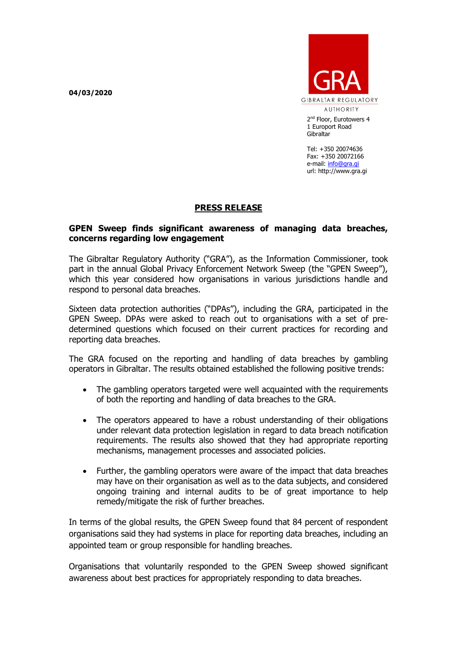**04/03/2020**



2<sup>nd</sup> Floor, Eurotowers 4 1 Europort Road **Gibraltar** 

Tel: +350 20074636 Fax: +350 20072166 e-mail: [info@gra.gi](mailto:info@gra.gi) url: http://www.gra.gi

## **PRESS RELEASE**

## **GPEN Sweep finds significant awareness of managing data breaches, concerns regarding low engagement**

The Gibraltar Regulatory Authority ("GRA"), as the Information Commissioner, took part in the annual Global Privacy Enforcement Network Sweep (the "GPEN Sweep"), which this year considered how organisations in various jurisdictions handle and respond to personal data breaches.

Sixteen data protection authorities ("DPAs"), including the GRA, participated in the GPEN Sweep. DPAs were asked to reach out to organisations with a set of predetermined questions which focused on their current practices for recording and reporting data breaches.

The GRA focused on the reporting and handling of data breaches by gambling operators in Gibraltar. The results obtained established the following positive trends:

- The gambling operators targeted were well acquainted with the requirements of both the reporting and handling of data breaches to the GRA.
- The operators appeared to have a robust understanding of their obligations under relevant data protection legislation in regard to data breach notification requirements. The results also showed that they had appropriate reporting mechanisms, management processes and associated policies.
- Further, the gambling operators were aware of the impact that data breaches may have on their organisation as well as to the data subjects, and considered ongoing training and internal audits to be of great importance to help remedy/mitigate the risk of further breaches.

In terms of the global results, the GPEN Sweep found that 84 percent of respondent organisations said they had systems in place for reporting data breaches, including an appointed team or group responsible for handling breaches.

Organisations that voluntarily responded to the GPEN Sweep showed significant awareness about best practices for appropriately responding to data breaches.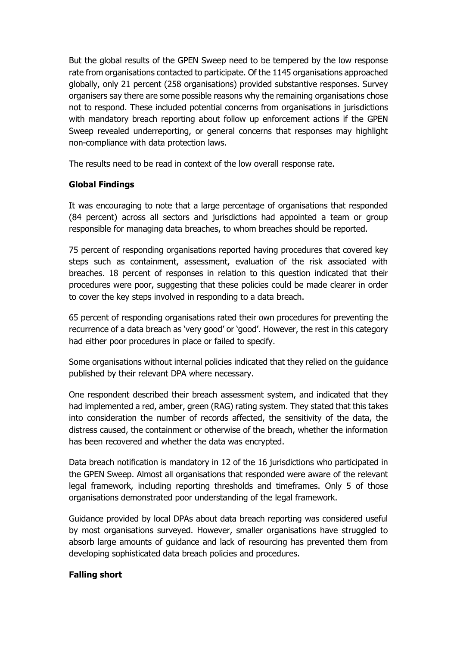But the global results of the GPEN Sweep need to be tempered by the low response rate from organisations contacted to participate. Of the 1145 organisations approached globally, only 21 percent (258 organisations) provided substantive responses. Survey organisers say there are some possible reasons why the remaining organisations chose not to respond. These included potential concerns from organisations in jurisdictions with mandatory breach reporting about follow up enforcement actions if the GPEN Sweep revealed underreporting, or general concerns that responses may highlight non-compliance with data protection laws.

The results need to be read in context of the low overall response rate.

## **Global Findings**

It was encouraging to note that a large percentage of organisations that responded (84 percent) across all sectors and jurisdictions had appointed a team or group responsible for managing data breaches, to whom breaches should be reported.

75 percent of responding organisations reported having procedures that covered key steps such as containment, assessment, evaluation of the risk associated with breaches. 18 percent of responses in relation to this question indicated that their procedures were poor, suggesting that these policies could be made clearer in order to cover the key steps involved in responding to a data breach.

65 percent of responding organisations rated their own procedures for preventing the recurrence of a data breach as 'very good' or 'good'. However, the rest in this category had either poor procedures in place or failed to specify.

Some organisations without internal policies indicated that they relied on the guidance published by their relevant DPA where necessary.

One respondent described their breach assessment system, and indicated that they had implemented a red, amber, green (RAG) rating system. They stated that this takes into consideration the number of records affected, the sensitivity of the data, the distress caused, the containment or otherwise of the breach, whether the information has been recovered and whether the data was encrypted.

Data breach notification is mandatory in 12 of the 16 jurisdictions who participated in the GPEN Sweep. Almost all organisations that responded were aware of the relevant legal framework, including reporting thresholds and timeframes. Only 5 of those organisations demonstrated poor understanding of the legal framework.

Guidance provided by local DPAs about data breach reporting was considered useful by most organisations surveyed. However, smaller organisations have struggled to absorb large amounts of guidance and lack of resourcing has prevented them from developing sophisticated data breach policies and procedures.

## **Falling short**